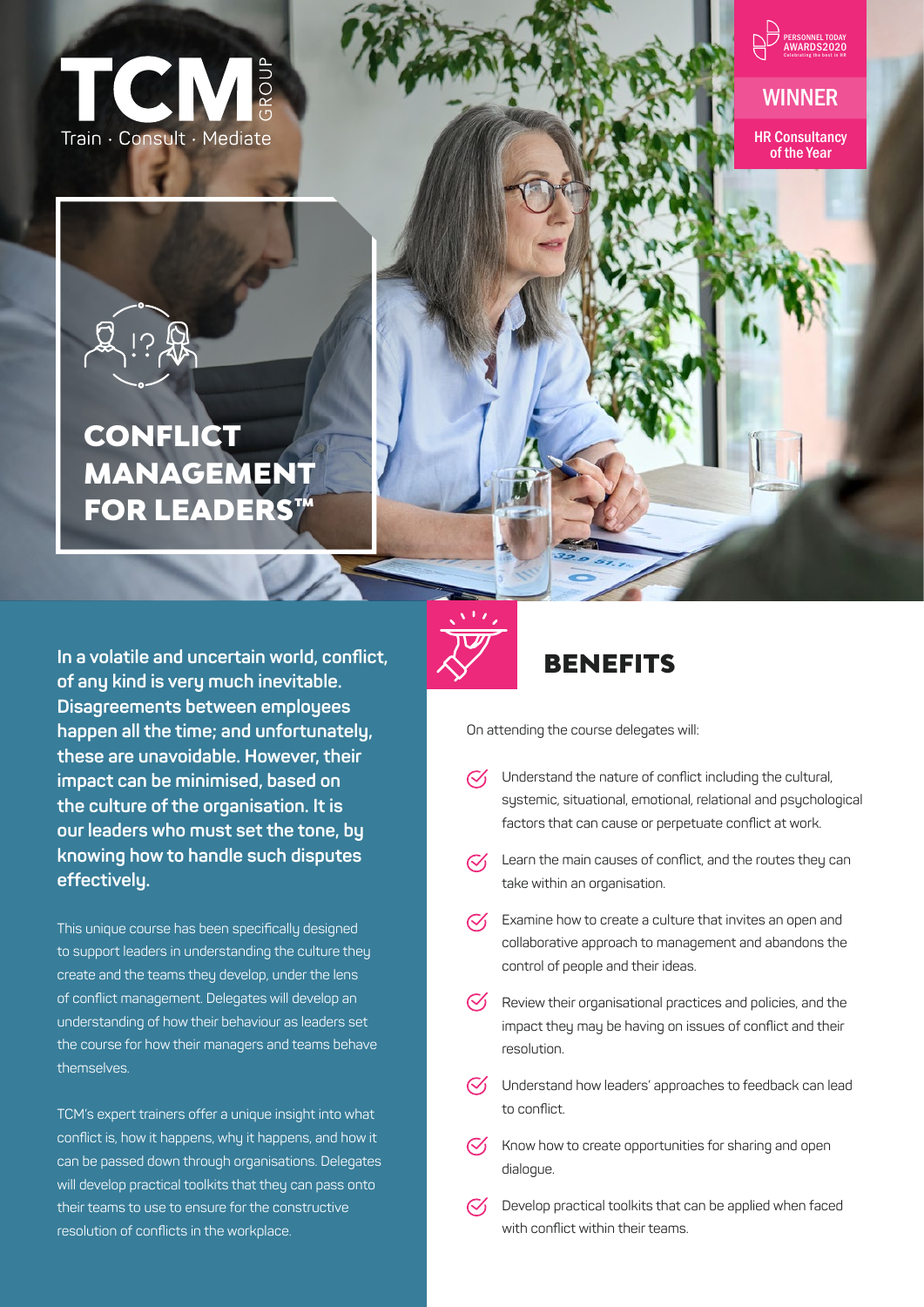



## WINNER

HR Consultancy of the Year

# **CONFLICT** MANAGEMENT FOR LEADERS™

**In a volatile and uncertain world, conflict, of any kind is very much inevitable. Disagreements between employees happen all the time; and unfortunately, these are unavoidable. However, their impact can be minimised, based on the culture of the organisation. It is our leaders who must set the tone, by knowing how to handle such disputes effectively.** 

This unique course has been specifically designed to support leaders in understanding the culture they create and the teams they develop, under the lens of conflict management. Delegates will develop an understanding of how their behaviour as leaders set the course for how their managers and teams behave themselves.

TCM's expert trainers offer a unique insight into what conflict is, how it happens, why it happens, and how it can be passed down through organisations. Delegates will develop practical toolkits that they can pass onto their teams to use to ensure for the constructive resolution of conflicts in the workplace.

# BENEFITS

On attending the course delegates will:

- $\mathcal{C}'$ Understand the nature of conflict including the cultural, systemic, situational, emotional, relational and psychological factors that can cause or perpetuate conflict at work.
- $\sqrt{\phantom{a}}$  Learn the main causes of conflict, and the routes they can take within an organisation.
- $\heartsuit$  Examine how to create a culture that invites an open and collaborative approach to management and abandons the control of people and their ideas.
- $\heartsuit$  Review their organisational practices and policies, and the impact they may be having on issues of conflict and their resolution.
- $\heartsuit$  Understand how leaders' approaches to feedback can lead to conflict.
- $\heartsuit$  Know how to create opportunities for sharing and open dialogue.
- Develop practical toolkits that can be applied when faced with conflict within their teams.